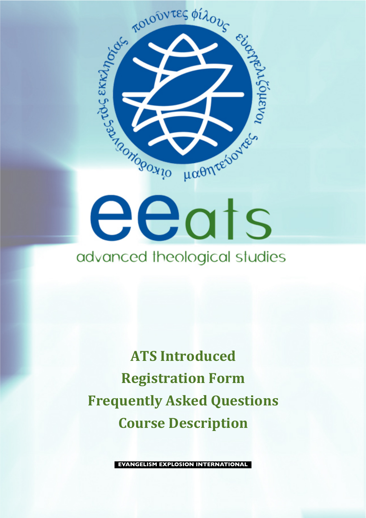



# advanced theological studies

**ATS Introduced Registration Form Frequently Asked Questions Course Description** 

**EVANGELISM EXPLOSION INTERNATIONAL**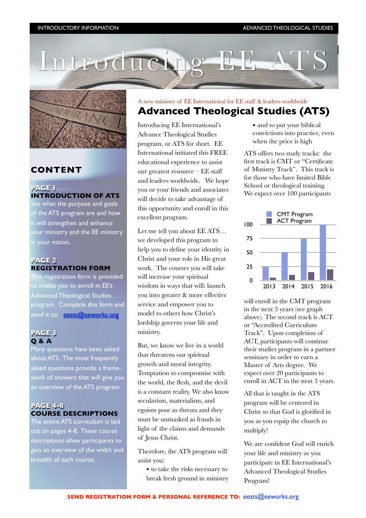



# **CONTENT**

#### **PAGE 1 INTRODUCTION OF ATS** See what the purpose and goals

of the ATS program are and how it will strengthen and enhance your ministry and the EE ministry in your nation.

### **PAGE 2 REGISTRATION FORM**

This registration form is provided to enable you to enroll in EE's Advanced Theological Studies program. Complete this form and send it to: [eeats@eeworks.org](mailto:eeats@eeworks.org)

#### **PAGE 3 Q & A**

Many questions have been asked about ATS. The most frequently asked questions provide a framework of answers that will give you an overview of the ATS program.

## **PAGE 4-8 COURSE DESCRIPTIONS**

The entire ATS curriculum is laid out on pages 4-8. These course descriptions allow participants to gain an overview of the width and breadth of each course.

# A new ministry of EE International for EE staff & leaders worldwide **Advanced Theological Studies (ATS)**

Introducing EE International's Advance Theological Studies program, or ATS for short. EE International initiated this FREE educational experience to assist our greatest resource – EE staff and leaders worldwide. We hope you or your friends and associates will decide to take advantage of this opportunity and enroll in this excellent program.

Let me tell you about EE ATS… we developed this program to help you to define your identity in Christ and your role in His great work. The courses you will take will increase your spiritual wisdom in ways that will: launch you into greater & more effective service and empower you to model to others how Christ's lordship governs your life and ministry.

But, we know we live in a world that threatens our spiritual growth and moral integrity. Temptation to compromise with the world, the flesh, and the devil is a constant reality. We also know secularism, materialism, and egoism pose as threats and they must be unmasked as frauds in light of the claims and demands of Jesus Christ.

Therefore, the ATS program will assist you:

! to take the risks necessary to break fresh ground in ministry • and to put your biblical convictions into practice, even when the price is high

ATS offers two study tracks: the first track is CMT or "Certificate of Ministry Track". This track is for those who have limited Bible School or theological training. We expect over 100 participants



will enroll in the CMT program in the next 3 years (see graph above). The second track is ACT or "Accredited Curriculum Track". Upon completion of ACT, participants will continue their studies program in a partner seminary in order to earn a Master of Arts degree. We expect over 20 participants to enroll in ACT in the next 3 years.

All that is taught in the ATS program will be centered in Christ so that God is glorified in you as you equip the church to multiply!

We are confident God will enrich your life and ministry as you participate in EE International's Advanced Theological Studies Program!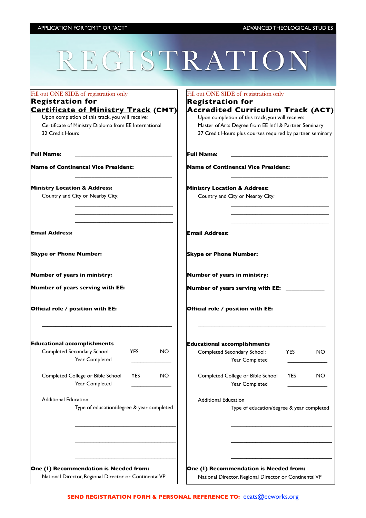# REGISTRATION

| Fill out ONE SIDE of registration only                                                                                                                                     | Fill out ONE SIDE of registration only                                                                                                                                                                                                   |  |  |
|----------------------------------------------------------------------------------------------------------------------------------------------------------------------------|------------------------------------------------------------------------------------------------------------------------------------------------------------------------------------------------------------------------------------------|--|--|
| <b>Registration for</b>                                                                                                                                                    | <b>Registration for</b>                                                                                                                                                                                                                  |  |  |
| <b>Certificate of Ministry Track (CMT)</b><br>Upon completion of this track, you will receive:<br>Certificate of Ministry Diploma from EE International<br>32 Credit Hours | <b>Accredited Curriculum Track (ACT)</b><br>Upon completion of this track, you will receive:<br>Master of Arts Degree from EE Int'l & Partner Seminary<br>37 Credit Hours plus courses required by partner seminary<br><b>Full Name:</b> |  |  |
| Full Name:                                                                                                                                                                 |                                                                                                                                                                                                                                          |  |  |
| Name of Continental Vice President:                                                                                                                                        | <b>Name of Continental Vice President:</b>                                                                                                                                                                                               |  |  |
| <b>Ministry Location &amp; Address:</b><br>Country and City or Nearby City:                                                                                                | <b>Ministry Location &amp; Address:</b><br>Country and City or Nearby City:                                                                                                                                                              |  |  |
| Email Address:                                                                                                                                                             | <b>Email Address:</b>                                                                                                                                                                                                                    |  |  |
| <b>Skype or Phone Number:</b>                                                                                                                                              | <b>Skype or Phone Number:</b>                                                                                                                                                                                                            |  |  |
| Number of years in ministry:                                                                                                                                               | Number of years in ministry:                                                                                                                                                                                                             |  |  |
| Number of years serving with EE: ___________                                                                                                                               | Number of years serving with EE: ___________                                                                                                                                                                                             |  |  |
| Official role / position with EE:                                                                                                                                          | Official role / position with EE:                                                                                                                                                                                                        |  |  |
| <b>Educational accomplishments</b><br>Completed Secondary School:<br><b>YES</b><br>NO.                                                                                     | <b>Educational accomplishments</b><br>Completed Secondary School:<br><b>YES</b><br>NO.                                                                                                                                                   |  |  |
| Year Completed                                                                                                                                                             | Year Completed                                                                                                                                                                                                                           |  |  |
| Completed College or Bible School<br><b>YES</b><br>NO.<br>Year Completed                                                                                                   | Completed College or Bible School<br><b>YES</b><br>NO<br>Year Completed                                                                                                                                                                  |  |  |
| <b>Additional Education</b>                                                                                                                                                | <b>Additional Education</b>                                                                                                                                                                                                              |  |  |
| Type of education/degree & year completed                                                                                                                                  | Type of education/degree & year completed                                                                                                                                                                                                |  |  |
|                                                                                                                                                                            |                                                                                                                                                                                                                                          |  |  |
|                                                                                                                                                                            |                                                                                                                                                                                                                                          |  |  |
|                                                                                                                                                                            |                                                                                                                                                                                                                                          |  |  |
| One (I) Recommendation is Needed from:<br>National Director, Regional Director or Continental VP                                                                           | One (I) Recommendation is Needed from:<br>National Director, Regional Director or Continental VP                                                                                                                                         |  |  |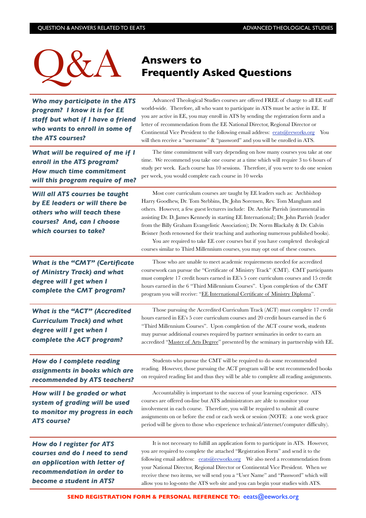

# **Frequently Asked Questions**

| Who may participate in the ATS<br>program? I know it is for EE<br>staff but what if I have a friend<br>who wants to enroll in some of<br>the ATS courses? | Advanced Theological Studies courses are offered FREE of charge to all EE staff<br>world-wide. Therefore, all who want to participate in ATS must be active in EE. If<br>you are active in EE, you may enroll in ATS by sending the registration form and a<br>letter of recommendation from the EE National Director, Regional Director or<br>Continental Vice President to the following email address: eeats@eeworks.org<br>You<br>will then receive a "username" & "password" and you will be enrolled in ATS.                                                                                                                                                                  |
|-----------------------------------------------------------------------------------------------------------------------------------------------------------|-------------------------------------------------------------------------------------------------------------------------------------------------------------------------------------------------------------------------------------------------------------------------------------------------------------------------------------------------------------------------------------------------------------------------------------------------------------------------------------------------------------------------------------------------------------------------------------------------------------------------------------------------------------------------------------|
| What will be required of me if I<br>enroll in the ATS program?<br><b>How much time commitment</b><br>will this program require of me?                     | The time commitment will vary depending on how many courses you take at one<br>time. We recommend you take one course at a time which will require 3 to 6 hours of<br>study per week. Each course has 10 sessions. Therefore, if you were to do one session<br>per week, you would complete each course in 10 weeks                                                                                                                                                                                                                                                                                                                                                                 |
| Will all ATS courses be taught<br>by EE leaders or will there be<br>others who will teach these<br>courses? And, can I choose<br>which courses to take?   | Most core curriculum courses are taught by EE leaders such as: Archbishop<br>Harry Goodhew, Dr. Tom Stebbins, Dr. John Sorensen, Rev. Tom Mangham and<br>others. However, a few guest lecturers include: Dr. Archie Parrish (instrumental in<br>assisting Dr. D. James Kennedy in starting EE International); Dr. John Parrish (leader<br>from the Billy Graham Evangelistic Association); Dr. Norm Blackaby & Dr. Calvin<br>Beisner (both renowned for their teaching and authoring numerous published books).<br>You are required to take EE core courses but if you have completed theological<br>courses similar to Third Millennium courses, you may opt out of these courses. |
| <b>What is the "CMT" (Certificate</b><br>of Ministry Track) and what<br>degree will I get when I<br>complete the CMT program?                             | Those who are unable to meet academic requirements needed for accredited<br>coursework can pursue the "Certificate of Ministry Track" (CMT). CMT participants<br>must complete 17 credit hours earned in EE's 5 core curriculum courses and 15 credit<br>hours earned in the 6 "Third Millennium Courses". Upon completion of the CMT<br>program you will receive: "EE International Certificate of Ministry Diploma".                                                                                                                                                                                                                                                              |
| <b>What is the "ACT" (Accredited</b><br><b>Curriculum Track) and what</b><br>degree will I get when I<br>complete the ACT program?                        | Those pursuing the Accredited Curriculum Track (ACT) must complete 17 credit<br>hours earned in EE's 5 core curriculum courses and 20 credit hours earned in the 6<br>"Third Millennium Courses". Upon completion of the ACT course work, students<br>may pursue additional courses required by partner seminaries in order to earn an<br>accredited "Master of Arts Degree" presented by the seminary in partnership with EE.                                                                                                                                                                                                                                                      |
| How do I complete reading<br>assignments in books which are<br>recommended by ATS teachers?                                                               | Students who pursue the CMT will be required to do some recommended<br>reading. However, those pursuing the ACT program will be sent recommended books<br>on required reading list and thus they will be able to complete all reading assignments.                                                                                                                                                                                                                                                                                                                                                                                                                                  |
| How will I be graded or what<br>system of grading will be used<br>to monitor my progress in each<br><b>ATS course?</b>                                    | Accountability is important to the success of your learning experience. ATS<br>courses are offered on-line but ATS administrators are able to monitor your<br>involvement in each course. Therefore, you will be required to submit all course<br>assignments on or before the end or each week or session (NOTE: a one week grace<br>period will be given to those who experience technical/internet/computer difficulty).                                                                                                                                                                                                                                                         |
| How do I register for ATS<br>courses and do I need to send<br>an application with letter of<br>recommendation in order to<br>become a student in ATS?     | It is not necessary to fulfill an application form to participate in ATS. However,<br>you are required to complete the attached "Registration Form" and send it to the<br>your National Director, Regional Director or Continental Vice President. When we<br>receive these two items, we will send you a "User Name" and "Password" which will<br>allow you to log-onto the ATS web site and you can begin your studies with ATS.                                                                                                                                                                                                                                                  |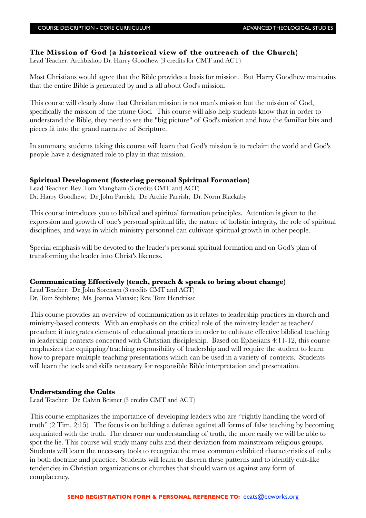#### **The Mission of God (a historical view of the outreach of the Church)**

Lead Teacher: Archbishop Dr. Harry Goodhew (3 credits for CMT and ACT)

Most Christians would agree that the Bible provides a basis for mission. But Harry Goodhew maintains that the entire Bible is generated by and is all about God's mission.

This course will clearly show that Christian mission is not man's mission but the mission of God, specifically the mission of the triune God. This course will also help students know that in order to understand the Bible, they need to see the "big picture" of God's mission and how the familiar bits and pieces fit into the grand narrative of Scripture.

In summary, students taking this course will learn that God's mission is to reclaim the world and God's people have a designated role to play in that mission.

#### **Spiritual Development (fostering personal Spiritual Formation)**

Lead Teacher: Rev. Tom Mangham (3 credits CMT and ACT) Dr. Harry Goodhew; Dr. John Parrish; Dr. Archie Parrish; Dr. Norm Blackaby

This course introduces you to biblical and spiritual formation principles. Attention is given to the expression and growth of one's personal spiritual life, the nature of holistic integrity, the role of spiritual disciplines, and ways in which ministry personnel can cultivate spiritual growth in other people.

Special emphasis will be devoted to the leader's personal spiritual formation and on God's plan of transforming the leader into Christ's likeness.

#### **Communicating Effectively (teach, preach & speak to bring about change)**

Lead Teacher: Dr. John Sorensen (3 credits CMT and ACT) Dr. Tom Stebbins; Ms. Joanna Matasic; Rev. Tom Hendrikse

This course provides an overview of communication as it relates to leadership practices in church and ministry-based contexts. With an emphasis on the critical role of the ministry leader as teacher/ preacher, it integrates elements of educational practices in order to cultivate effective biblical teaching in leadership contexts concerned with Christian discipleship. Based on Ephesians 4:11-12, this course emphasizes the equipping/teaching responsibility of leadership and will require the student to learn how to prepare multiple teaching presentations which can be used in a variety of contexts. Students will learn the tools and skills necessary for responsible Bible interpretation and presentation.

#### **Understanding the Cults**

Lead Teacher: Dr. Calvin Beisner (3 credits CMT and ACT)

This course emphasizes the importance of developing leaders who are "rightly handling the word of truth" [\(2 Tim. 2:15\)](http://biblia.com/bible/esv/2%20Tim.%202.15). The focus is on building a defense against all forms of false teaching by becoming acquainted with the truth. The clearer our understanding of truth, the more easily we will be able to spot the lie. This course will study many cults and their deviation from mainstream religious groups. Students will learn the necessary tools to recognize the most common exhibited characteristics of cults in both doctrine and practice. Students will learn to discern these patterns and to identify cult-like tendencies in Christian organizations or churches that should warn us against any form of complacency.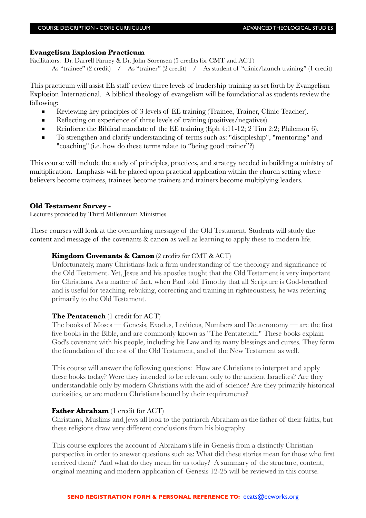#### **Evangelism Explosion Practicum**

Facilitators: Dr. Darrell Farney & Dr. John Sorensen (5 credits for CMT and ACT)

As "trainee" (2 credit) / As "trainer" (2 credit) / As student of "clinic/launch training" (1 credit)

This practicum will assist EE staff review three levels of leadership training as set forth by Evangelism Explosion International. A biblical theology of evangelism will be foundational as students review the following:

- Reviewing key principles of 3 levels of EE training (Trainee, Trainer, Clinic Teacher).
- Reflecting on experience of three levels of training (positives/negatives).
- Reinforce the Biblical mandate of the EE training (Eph 4:11-12; 2 Tim 2:2; Philemon 6).
- To strengthen and clarify understanding of terms such as: "discipleship", "mentoring" and "coaching" (i.e. how do these terms relate to "being good trainer"?)

This course will include the study of principles, practices, and strategy needed in building a ministry of multiplication. Emphasis will be placed upon practical application within the church setting where believers become trainees, trainees become trainers and trainers become multiplying leaders.

#### **Old Testament Survey -**

Lectures provided by Third Millennium Ministries

These courses will look at the overarching message of the Old Testament. Students will study the content and message of the covenants & canon as well as learning to apply these to modern life.

#### **Kingdom Covenants & Canon** (2 credits for CMT & ACT)

Unfortunately, many Christians lack a firm understanding of the theology and significance of the Old Testament. Yet, Jesus and his apostles taught that the Old Testament is very important for Christians. As a matter of fact, when Paul told Timothy that all Scripture is God-breathed and is useful for teaching, rebuking, correcting and training in righteousness, he was referring primarily to the Old Testament.

#### **The Pentateuch** (1 credit for ACT)

The books of Moses — Genesis, Exodus, Leviticus, Numbers and Deuteronomy — are the first five books in the Bible, and are commonly known as "The Pentateuch." These books explain God's covenant with his people, including his Law and its many blessings and curses. They form the foundation of the rest of the Old Testament, and of the New Testament as well.

This course will answer the following questions: How are Christians to interpret and apply these books today? Were they intended to be relevant only to the ancient Israelites? Are they understandable only by modern Christians with the aid of science? Are they primarily historical curiosities, or are modern Christians bound by their requirements?

#### **Father Abraham** (1 credit for ACT)

Christians, Muslims and Jews all look to the patriarch Abraham as the father of their faiths, but these religions draw very different conclusions from his biography.

This course explores the account of Abraham's life in Genesis from a distinctly Christian perspective in order to answer questions such as: What did these stories mean for those who first received them? And what do they mean for us today? A summary of the structure, content, original meaning and modern application of Genesis 12-25 will be reviewed in this course.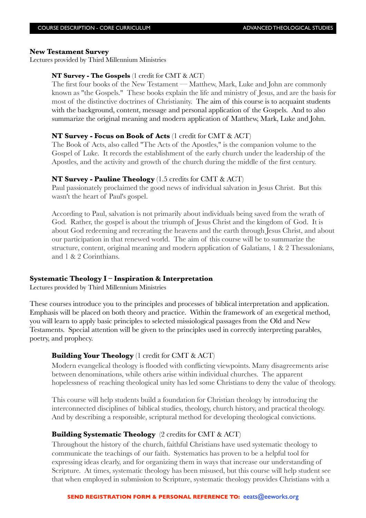#### **New Testament Survey**

Lectures provided by Third Millennium Ministries

#### **NT Survey - The Gospels** (1 credit for CMT & ACT)

The first four books of the New Testament — Matthew, Mark, Luke and John are commonly known as "the Gospels." These books explain the life and ministry of Jesus, and are the basis for most of the distinctive doctrines of Christianity. The aim of this course is to acquaint students with the background, content, message and personal application of the Gospels. And to also summarize the original meaning and modern application of Matthew, Mark, Luke and John.

#### **NT Survey - Focus on Book of Acts** (1 credit for CMT & ACT)

The Book of Acts, also called "The Acts of the Apostles," is the companion volume to the Gospel of Luke. It records the establishment of the early church under the leadership of the Apostles, and the activity and growth of the church during the middle of the first century.

#### **NT Survey - Pauline Theology** (1.5 credits for CMT & ACT)

Paul passionately proclaimed the good news of individual salvation in Jesus Christ. But this wasn't the heart of Paul's gospel.

According to Paul, salvation is not primarily about individuals being saved from the wrath of God. Rather, the gospel is about the triumph of Jesus Christ and the kingdom of God. It is about God redeeming and recreating the heavens and the earth through Jesus Christ, and about our participation in that renewed world. The aim of this course will be to summarize the structure, content, original meaning and modern application of Galatians, 1 & 2 Thessalonians, and 1 & 2 Corinthians.

#### **Systematic Theology I – Inspiration & Interpretation**

Lectures provided by Third Millennium Ministries

These courses introduce you to the principles and processes of biblical interpretation and application. Emphasis will be placed on both theory and practice. Within the framework of an exegetical method, you will learn to apply basic principles to selected missiological passages from the Old and New Testaments. Special attention will be given to the principles used in correctly interpreting parables, poetry, and prophecy.

#### **Building Your Theology** (1 credit for CMT & ACT)

Modern evangelical theology is flooded with conflicting viewpoints. Many disagreements arise between denominations, while others arise within individual churches. The apparent hopelessness of reaching theological unity has led some Christians to deny the value of theology.

This course will help students build a foundation for Christian theology by introducing the interconnected disciplines of biblical studies, theology, church history, and practical theology. And by describing a responsible, scriptural method for developing theological convictions.

#### **Building Systematic Theology** (2 credits for CMT & ACT)

Throughout the history of the church, faithful Christians have used systematic theology to communicate the teachings of our faith. Systematics has proven to be a helpful tool for expressing ideas clearly, and for organizing them in ways that increase our understanding of Scripture. At times, systematic theology has been misused, but this course will help student see that when employed in submission to Scripture, systematic theology provides Christians with a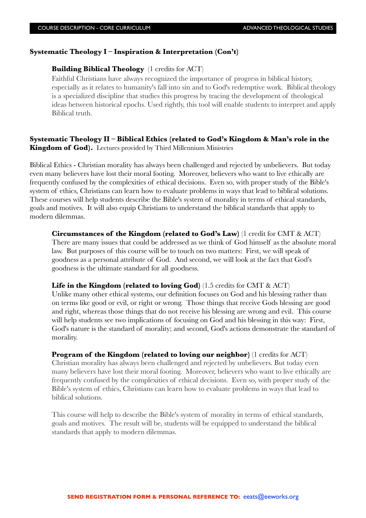#### **Systematic Theology I – Inspiration & Interpretation (Con't)**

#### **Building Biblical Theology** (1 credits for ACT)

Faithful Christians have always recognized the importance of progress in biblical history, especially as it relates to humanity's fall into sin and to God's redemptive work. Biblical theology is a specialized discipline that studies this progress by tracing the development of theological ideas between historical epochs. Used rightly, this tool will enable students to interpret and apply Biblical truth.

#### **Systematic Theology II – Biblical Ethics (related to God's Kingdom & Man's role in the Kingdom of God).** Lectures provided by Third Millennium Ministries

Biblical Ethics - Christian morality has always been challenged and rejected by unbelievers. But today even many believers have lost their moral footing. Moreover, believers who want to live ethically are frequently confused by the complexities of ethical decisions. Even so, with proper study of the Bible's system of ethics, Christians can learn how to evaluate problems in ways that lead to biblical solutions. These courses will help students describe the Bible's system of morality in terms of ethical standards, goals and motives. It will also equip Christians to understand the biblical standards that apply to modern dilemmas.

**Circumstances of the Kingdom (related to God's Law)** (1 credit for CMT & ACT) There are many issues that could be addressed as we think of God himself as the absolute moral law. But purposes of this course will be to touch on two matters: First, we will speak of goodness as a personal attribute of God. And second, we will look at the fact that God's goodness is the ultimate standard for all goodness.

#### **Life in the Kingdom (related to loving God)** (1.5 credits for CMT & ACT)

Unlike many other ethical systems, our definition focuses on God and his blessing rather than on terms like good or evil, or right or wrong. Those things that receive Gods blessing are good and right, whereas those things that do not receive his blessing are wrong and evil. This course will help students see two implications of focusing on God and his blessing in this way: First, God's nature is the standard of morality; and second, God's actions demonstrate the standard of morality.

#### **Program of the Kingdom (related to loving our neighbor)** (1 credits for ACT)

Christian morality has always been challenged and rejected by unbelievers. But today even many believers have lost their moral footing. Moreover, believers who want to live ethically are frequently confused by the complexities of ethical decisions. Even so, with proper study of the Bible's system of ethics, Christians can learn how to evaluate problems in ways that lead to biblical solutions.

This course will help to describe the Bible's system of morality in terms of ethical standards, goals and motives. The result will be, students will be equipped to understand the biblical standards that apply to modern dilemmas.